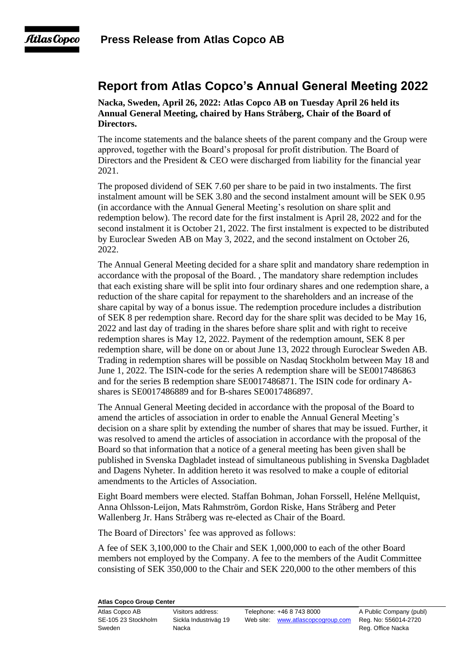## **Report from Atlas Copco's Annual General Meeting 2022**

**Nacka, Sweden, April 26, 2022: Atlas Copco AB on Tuesday April 26 held its Annual General Meeting, chaired by Hans Stråberg, Chair of the Board of Directors.**

The income statements and the balance sheets of the parent company and the Group were approved, together with the Board's proposal for profit distribution. The Board of Directors and the President & CEO were discharged from liability for the financial year 2021.

The proposed dividend of SEK 7.60 per share to be paid in two instalments. The first instalment amount will be SEK 3.80 and the second instalment amount will be SEK 0.95 (in accordance with the Annual General Meeting's resolution on share split and redemption below). The record date for the first instalment is April 28, 2022 and for the second instalment it is October 21, 2022. The first instalment is expected to be distributed by Euroclear Sweden AB on May 3, 2022, and the second instalment on October 26, 2022.

The Annual General Meeting decided for a share split and mandatory share redemption in accordance with the proposal of the Board. , The mandatory share redemption includes that each existing share will be split into four ordinary shares and one redemption share, a reduction of the share capital for repayment to the shareholders and an increase of the share capital by way of a bonus issue. The redemption procedure includes a distribution of SEK 8 per redemption share. Record day for the share split was decided to be May 16, 2022 and last day of trading in the shares before share split and with right to receive redemption shares is May 12, 2022. Payment of the redemption amount, SEK 8 per redemption share, will be done on or about June 13, 2022 through Euroclear Sweden AB. Trading in redemption shares will be possible on Nasdaq Stockholm between May 18 and June 1, 2022. The ISIN-code for the series A redemption share will be SE0017486863 and for the series B redemption share SE0017486871. The ISIN code for ordinary Ashares is SE0017486889 and for B-shares SE0017486897.

The Annual General Meeting decided in accordance with the proposal of the Board to amend the articles of association in order to enable the Annual General Meeting's decision on a share split by extending the number of shares that may be issued. Further, it was resolved to amend the articles of association in accordance with the proposal of the Board so that information that a notice of a general meeting has been given shall be published in Svenska Dagbladet instead of simultaneous publishing in Svenska Dagbladet and Dagens Nyheter. In addition hereto it was resolved to make a couple of editorial amendments to the Articles of Association.

Eight Board members were elected. Staffan Bohman, Johan Forssell, Heléne Mellquist, Anna Ohlsson-Leijon, Mats Rahmström, Gordon Riske, Hans Stråberg and Peter Wallenberg Jr. Hans Stråberg was re-elected as Chair of the Board.

The Board of Directors' fee was approved as follows:

A fee of SEK 3,100,000 to the Chair and SEK 1,000,000 to each of the other Board members not employed by the Company. A fee to the members of the Audit Committee consisting of SEK 350,000 to the Chair and SEK 220,000 to the other members of this

## **Atlas Copco Group Center**

Sweden **Nacka** Nacka Reg. Office Nacka

Atlas Copco AB Visitors address: Telephone: +46 8 743 8000 A Public Company (publ) SE-105 23 Stockholm Sickla Industriväg 19 Web site: [www.atlascopcogroup.com](http://www.atlascopcogroup.com/) Reg. No: 556014-2720